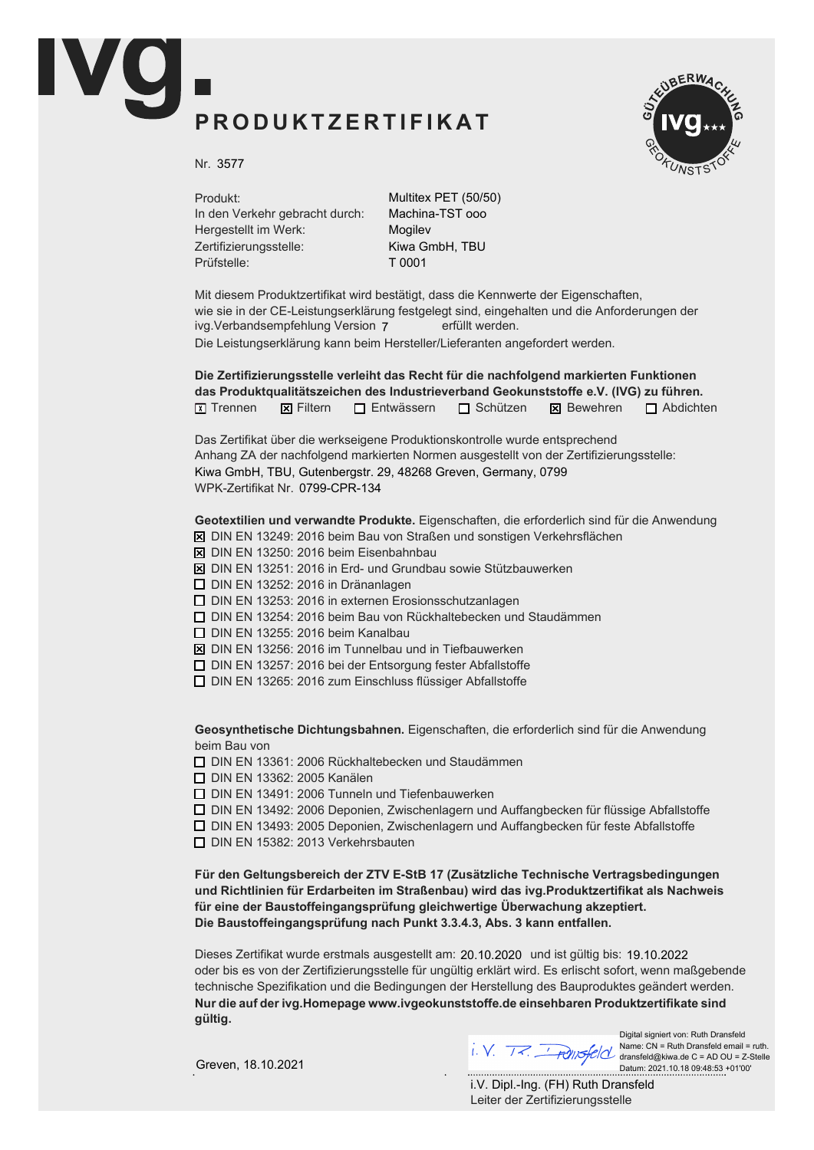## PRODUKTZERTIFIKAT



Nr. 3577

Produkt: In den Verkehr gebracht durch: Hergestellt im Werk: Zertifizierungsstelle: Prüfstelle:

Multitex PET (50/50) Machina-TST ooo Mogilev Kiwa GmbH, TBU T 0001

Mit diesem Produktzertifikat wird bestätigt, dass die Kennwerte der Eigenschaften, wie sie in der CE-Leistungserklärung festgelegt sind, eingehalten und die Anforderungen der ivg.Verbandsempfehlung Version 7 erfüllt werden. Die Leistungserklärung kann beim Hersteller/Lieferanten angefordert werden.

Die Zertifizierungsstelle verleiht das Recht für die nachfolgend markierten Funktionen das Produktqualitätszeichen des Industrieverband Geokunststoffe e.V. (IVG) zu führen.  $\boxed{\chi}$  Trennen  $\boxed{\chi}$  Filtern  $\boxed{\phantom{\chi}}$  Entwässern  $\boxed{\phantom{\chi}}$  Schützen  $\boxed{\phantom{\chi}}$  Bewehren  $\boxed{\phantom{\chi}}$  Abdichten

Das Zertifikat über die werkseigene Produktionskontrolle wurde entsprechend Anhang ZA der nachfolgend markierten Normen ausgestellt von der Zertifizierungsstelle: WPK-Zertifikat Nr. 0799-CPR-134 Kiwa GmbH, TBU, Gutenbergstr. 29, 48268 Greven, Germany, 0799

Geotextilien und verwandte Produkte. Eigenschaften, die erforderlich sind für die Anwendung

- $\overline{X}$  DIN EN 13249: 2016 beim Bau von Straßen und sonstigen Verkehrsflächen
- $\boxtimes$  DIN EN 13250: 2016 beim Eisenbahnbau
- $\boxtimes$  DIN EN 13251: 2016 in Erd- und Grundbau sowie Stützbauwerken
- $\Box$  DIN EN 13252: 2016 in Dränanlagen
- $\Box$  DIN EN 13253: 2016 in externen Erosionsschutzanlagen
- $\Box$  DIN EN 13254: 2016 beim Bau von Rückhaltebecken und Staudämmen
- $\Box$  DIN EN 13255: 2016 beim Kanalbau
- $\boxtimes$  DIN EN 13256: 2016 im Tunnelbau und in Tiefbauwerken
- $\Box$  DIN EN 13257: 2016 bei der Entsorgung fester Abfallstoffe
- $\Box$  DIN EN 13265: 2016 zum Einschluss flüssiger Abfallstoffe

Geosynthetische Dichtungsbahnen. Eigenschaften, die erforderlich sind für die Anwendung beim Bau von

 $\Box$  DIN EN 13361: 2006 Rückhaltebecken und Staudämmen

**D** DIN EN 13362: 2005 Kanälen

 $\Box$  DIN EN 13491: 2006 Tunneln und Tiefenbauwerken

 $\Box$  DIN EN 13492: 2006 Deponien, Zwischenlagern und Auffangbecken für flüssige Abfallstoffe

 $\Box$  DIN EN 13493: 2005 Deponien, Zwischenlagern und Auffangbecken für feste Abfallstoffe

 $\Box$  DIN EN 15382: 2013 Verkehrsbauten

Für den Geltungsbereich der ZTV E-StB 17 (Zusätzliche Technische Vertragsbedingungen und Richtlinien für Erdarbeiten im Straßenbau) wird das ivg.Produktzertifikat als Nachweis für eine der Baustoffeingangsprüfung gleichwertige Überwachung akzeptiert. Die Baustoffeingangsprüfung nach Punkt 3.3.4.3, Abs. 3 kann entfallen.

Dieses Zertifikat wurde erstmals ausgestellt am: 20.10.2020 und ist gültig bis: 19.10.2022 oder bis es von der Zertifizierungsstelle für ungültig erklärt wird. Es erlischt sofort, wenn maßgebende technische Spezifikation und die Bedingungen der Herstellung des Bauproduktes geändert werden. Nur die auf der ivg. Homepage www.ivgeokunststoffe. de einsehbaren Produktzertifikate sind aültia.

Greven, 18.10.2021

Digital signiert von: Ruth Dransfeld<br>Name: CN = Ruth Dransfeld email = ruth. Name: CN = Ruth Dransfeld email = ruth. dransfeld@kiwa.de C = AD OU = Z-Stelle Datum: 2021.10.18 09:48:53 +01'00'

Leiter der Zertifizierungsstelle i.V. Dipl.-Ing. (FH) Ruth Dransfeld